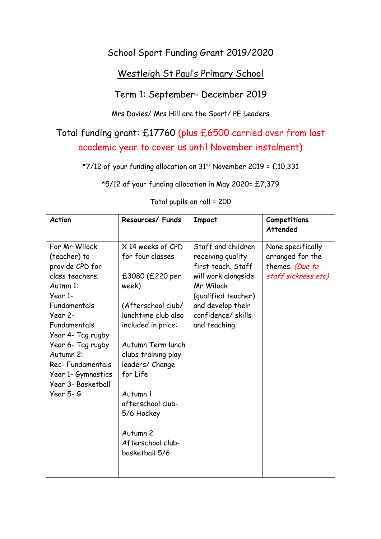## School Sport Funding Grant 2019/2020

### Westleigh St Paul's Primary School

#### Term 1: September- December 2019

Mrs Davies/ Mrs Hill are the Sport/ PE Leaders

# Total funding grant: £17760 (plus £6500 carried over from last academic year to cover us until November instalment)

\*7/12 of your funding allocation on  $31<sup>st</sup>$  November 2019 = £10,331

\*5/12 of your funding allocation in May 2020= £7,379

| <b>Action</b>                                                                                                                                                                                                                                                             | Resources/ Funds                                                                                                                                                                                                                                                                                                  | <b>Impact</b>                                                                                                                                                                       | Competitions<br><b>Attended</b>                                                 |
|---------------------------------------------------------------------------------------------------------------------------------------------------------------------------------------------------------------------------------------------------------------------------|-------------------------------------------------------------------------------------------------------------------------------------------------------------------------------------------------------------------------------------------------------------------------------------------------------------------|-------------------------------------------------------------------------------------------------------------------------------------------------------------------------------------|---------------------------------------------------------------------------------|
| For Mr Wilock<br>(teacher) to<br>provide CPD for<br>class teachers.<br>Autmn 1:<br>Year 1-<br>Fundamentals<br>Year 2-<br>Fundamentals<br>Year 4- Tag rugby<br>Year 6- Tag rugby<br>Autumn 2:<br>Rec-Fundamentals<br>Year 1- Gymnastics<br>Year 3- Basketball<br>Year 5- G | X 14 weeks of CPD<br>for four classes<br>£3080 (£220 per<br>week)<br>(Afterschool club/<br>lunchtime club also<br>included in price:<br>Autumn Term lunch<br>clubs training play<br>leaders/ Change<br>for Life<br>Autumn 1<br>afterschool club-<br>5/6 Hockey<br>Autumn 2<br>Afterschool club-<br>basketball 5/6 | Staff and children<br>receiving quality<br>first teach. Staff<br>will work alongside<br>Mr Wilock<br>(qualified teacher)<br>and develop their<br>confidence/skills<br>and teaching. | None specifically<br>arranged for the<br>themes. (Due to<br>staff sickness etc) |

#### Total pupils on roll = 200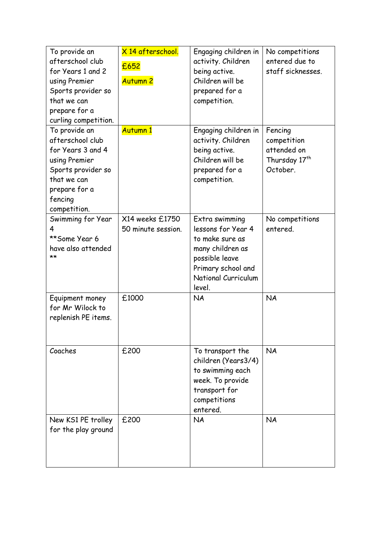| To provide an<br>afterschool club<br>for Years 1 and 2<br>using Premier<br>Sports provider so<br>that we can<br>prepare for a<br>curling competition.    | X 14 afterschool.<br>£652<br><b>Autumn 2</b> | Engaging children in<br>activity. Children<br>being active.<br>Children will be<br>prepared for a<br>competition.                                    | No competitions<br>entered due to<br>staff sicknesses.                         |
|----------------------------------------------------------------------------------------------------------------------------------------------------------|----------------------------------------------|------------------------------------------------------------------------------------------------------------------------------------------------------|--------------------------------------------------------------------------------|
| To provide an<br>afterschool club<br>for Years 3 and 4<br>using Premier<br>Sports provider so<br>that we can<br>prepare for a<br>fencing<br>competition. | Autumn 1                                     | Engaging children in<br>activity. Children<br>being active.<br>Children will be<br>prepared for a<br>competition.                                    | Fencing<br>competition<br>attended on<br>Thursday 17 <sup>th</sup><br>October. |
| Swimming for Year<br>4<br>**Some Year 6<br>have also attended<br>**                                                                                      | X14 weeks £1750<br>50 minute session.        | Extra swimming<br>lessons for Year 4<br>to make sure as<br>many children as<br>possible leave<br>Primary school and<br>National Curriculum<br>level. | No competitions<br>entered.                                                    |
| Equipment money<br>for Mr Wilock to<br>replenish PE items.                                                                                               | £1000                                        | <b>NA</b>                                                                                                                                            | <b>NA</b>                                                                      |
| Coaches                                                                                                                                                  | £200                                         | To transport the<br>children (Years3/4)<br>to swimming each<br>week. To provide<br>transport for<br>competitions<br>entered.                         | <b>NA</b>                                                                      |
| New KS1 PE trolley<br>for the play ground                                                                                                                | £200                                         | <b>NA</b>                                                                                                                                            | <b>NA</b>                                                                      |